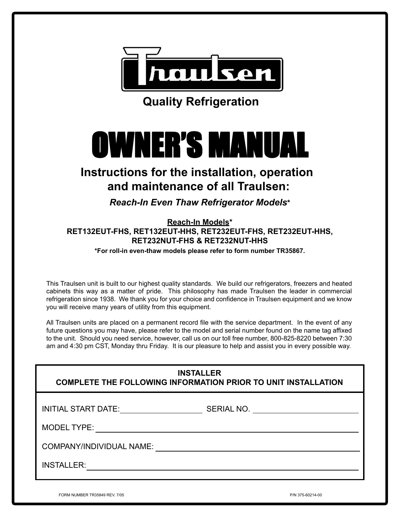

**Quality Refrigeration**

# OWNER'S MANUAL OWNER'S MANUAL OWNER'S MANUAL

# **Instructions for the installation, operation and maintenance of all Traulsen:**

*Reach-In Even Thaw Refrigerator Models***\***

**Reach-In Models\* RET132EUT-FHS, RET132EUT-HHS, RET232EUT-FHS, RET232EUT-HHS, RET232NUT-FHS & RET232NUT-HHS**

**\*For roll-in even-thaw models please refer to form number TR35867.**

This Traulsen unit is built to our highest quality standards. We build our refrigerators, freezers and heated cabinets this way as a matter of pride. This philosophy has made Traulsen the leader in commercial refrigeration since 1938. We thank you for your choice and confidence in Traulsen equipment and we know you will receive many years of utility from this equipment.

All Traulsen units are placed on a permanent record file with the service department. In the event of any future questions you may have, please refer to the model and serial number found on the name tag affixed to the unit. Should you need service, however, call us on our toll free number, 800-825-8220 between 7:30 am and 4:30 pm CST, Monday thru Friday. It is our pleasure to help and assist you in every possible way.

FORM NUMBER TR35849 REV. 7/05 P/N 375-60214-00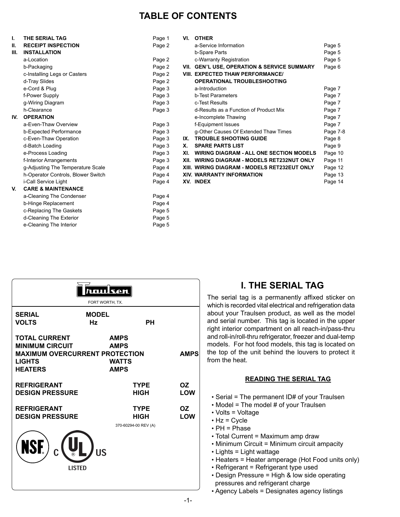## **TABLE OF CONTENTS**

| Ъ.   | THE SERIAL TAG                     | Page 1 |     | VI. OTHER                                      |          |
|------|------------------------------------|--------|-----|------------------------------------------------|----------|
| Ш.   | <b>RECEIPT INSPECTION</b>          | Page 2 |     | a-Service Information                          | Page 5   |
| III. | <b>INSTALLATION</b>                |        |     | b-Spare Parts                                  | Page 5   |
|      | a-Location                         | Page 2 |     | c-Warranty Registration                        | Page 5   |
|      | b-Packaging                        | Page 2 |     | VII. GEN'L USE, OPERATION & SERVICE SUMMARY    | Page 6   |
|      | c-Installing Legs or Casters       | Page 2 |     | <b>VIII. EXPECTED THAW PERFORMANCE/</b>        |          |
|      | d-Tray Slides                      | Page 2 |     | <b>OPERATIONAL TROUBLESHOOTING</b>             |          |
|      | e-Cord & Plug                      | Page 3 |     | a-Introduction                                 | Page 7   |
|      | f-Power Supply                     | Page 3 |     | <b>b-Test Parameters</b>                       | Page 7   |
|      | g-Wiring Diagram                   | Page 3 |     | c-Test Results                                 | Page 7   |
|      | h-Clearance                        | Page 3 |     | d-Results as a Function of Product Mix         | Page 7   |
| IV.  | <b>OPERATION</b>                   |        |     | e-Incomplete Thawing                           | Page 7   |
|      | a-Even-Thaw Overview               | Page 3 |     | f-Equipment Issues                             | Page 7   |
|      | b-Expected Performance             | Page 3 |     | g-Other Causes Of Extended Thaw Times          | Page 7-8 |
|      | c-Even-Thaw Operation              | Page 3 |     | IX. TROUBLE SHOOTING GUIDE                     | Page 8   |
|      | d-Batch Loading                    | Page 3 | Х.  | <b>SPARE PARTS LIST</b>                        | Page 9   |
|      | e-Process Loading                  | Page 3 | XI. | <b>WIRING DIAGRAM - ALL ONE SECTION MODELS</b> | Page 10  |
|      | f-Interior Arrangements            | Page 3 |     | XII. WIRING DIAGRAM - MODELS RET232NUT ONLY    | Page 11  |
|      | g-Adjusting The Temperature Scale  | Page 4 |     | XIII. WIRING DIAGRAM - MODELS RET232EUT ONLY   | Page 12  |
|      | h-Operator Controls, Blower Switch | Page 4 |     | <b>XIV. WARRANTY INFORMATION</b>               | Page 13  |
|      | i-Call Service Light               | Page 4 |     | XV. INDEX                                      | Page 14  |
| V.   | <b>CARE &amp; MAINTENANCE</b>      |        |     |                                                |          |
|      | a-Cleaning The Condenser           | Page 4 |     |                                                |          |
|      | b-Hinge Replacement                | Page 4 |     |                                                |          |
|      | c-Replacing The Gaskets            | Page 5 |     |                                                |          |
|      | d-Cleaning The Exterior            | Page 5 |     |                                                |          |
|      | e-Cleaning The Interior            | Page 5 |     |                                                |          |

| unulsen<br>FORT WORTH, TX.                                                                                                 |                    |                                                           |                  |  |
|----------------------------------------------------------------------------------------------------------------------------|--------------------|-----------------------------------------------------------|------------------|--|
| <b>SERIAL</b><br><b>VOLTS</b>                                                                                              | <b>MODEL</b><br>Hz | <b>PH</b>                                                 |                  |  |
| <b>TOTAL CURRENT</b><br><b>MINIMUM CIRCUIT</b><br><b>MAXIMUM OVERCURRENT PROTECTION</b><br><b>LIGHTS</b><br><b>HEATERS</b> |                    | <b>AMPS</b><br><b>AMPS</b><br><b>WATTS</b><br><b>AMPS</b> | <b>AMPS</b>      |  |
| <b>REFRIGERANT</b><br><b>DESIGN PRESSURE</b>                                                                               |                    | <b>TYPE</b><br><b>HIGH</b>                                | OZ.<br>LOW       |  |
| <b>REFRIGERANT</b><br><b>DESIGN PRESSURE</b>                                                                               |                    | <b>TYPE</b><br>HIGH<br>370-60294-00 REV (A)               | <b>OZ</b><br>LOW |  |
| NSF)<br><b>LISTED</b>                                                                                                      | <b>US</b>          |                                                           |                  |  |

## **I. THE SERIAL TAG**

The serial tag is a permanently affixed sticker on which is recorded vital electrical and refrigeration data about your Traulsen product, as well as the model and serial number. This tag is located in the upper right interior compartment on all reach-in/pass-thru and roll-in/roll-thru refrigerator, freezer and dual-temp models. For hot food models, this tag is located on the top of the unit behind the louvers to protect it from the heat.

#### **READING THE SERIAL TAG**

- Serial = The permanent ID# of your Traulsen
- Model = The model # of your Traulsen
- Volts = Voltage
- $\bullet$  Hz = Cycle
- PH = Phase
- Total Current = Maximum amp draw
- Minimum Circuit = Minimum circuit ampacity
- Lights = Light wattage
- Heaters = Heater amperage (Hot Food units only)
- Refrigerant = Refrigerant type used
- Design Pressure = High & low side operating pressures and refrigerant charge
- Agency Labels = Designates agency listings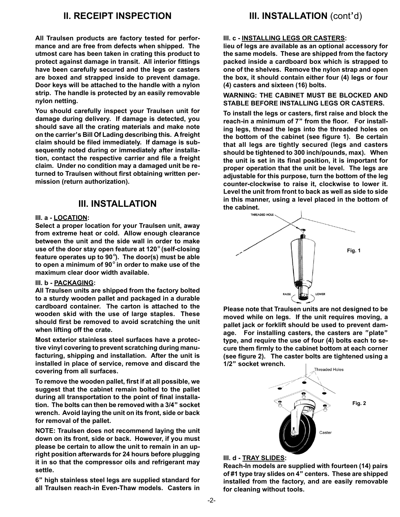## **II. RECEIPT INSPECTION**

**All Traulsen products are factory tested for performance and are free from defects when shipped. The utmost care has been taken in crating this product to protect against damage in transit. All interior fittings have been carefully secured and the legs or casters are boxed and strapped inside to prevent damage. Door keys will be attached to the handle with a nylon strip. The handle is protected by an easily removable nylon netting.**

**You should carefully inspect your Traulsen unit for damage during delivery. If damage is detected, you should save all the crating materials and make note on the carrier's Bill Of Lading describing this. A freight claim should be filed immediately. If damage is subsequently noted during or immediately after installation, contact the respective carrier and file a freight claim. Under no condition may a damaged unit be returned to Traulsen without first obtaining written permission (return authorization).**

## **III. INSTALLATION**

#### **III. a - LOCATION:**

**Select a proper location for your Traulsen unit, away from extreme heat or cold. Allow enough clearance between the unit and the side wall in order to make use of the door stay open feature at 120**° **(self-closing feature operates up to 90**°**). The door(s) must be able to open a minimum of 90**° **in order to make use of the maximum clear door width available.**

#### **III. b - PACKAGING:**

**All Traulsen units are shipped from the factory bolted to a sturdy wooden pallet and packaged in a durable cardboard container. The carton is attached to the wooden skid with the use of large staples. These should first be removed to avoid scratching the unit when lifting off the crate.**

**Most exterior stainless steel surfaces have a protective vinyl covering to prevent scratching during manufacturing, shipping and installation. After the unit is installed in place of service, remove and discard the covering from all surfaces.**

**To remove the wooden pallet, first if at all possible, we suggest that the cabinet remain bolted to the pallet during all transportation to the point of final installation. The bolts can then be removed with a 3/4" socket wrench. Avoid laying the unit on its front, side or back for removal of the pallet.**

**NOTE: Traulsen does not recommend laying the unit down on its front, side or back. However, if you must please be certain to allow the unit to remain in an upright position afterwards for 24 hours before plugging it in so that the compressor oils and refrigerant may settle.**

**6" high stainless steel legs are supplied standard for all Traulsen reach-in Even-Thaw models. Casters in**

## **III. INSTALLATION** (cont'd)

#### **III. c - INSTALLING LEGS OR CASTERS:**

**lieu of legs are available as an optional accessory for the same models. These are shipped from the factory packed inside a cardboard box which is strapped to one of the shelves. Remove the nylon strap and open the box, it should contain either four (4) legs or four (4) casters and sixteen (16) bolts.**

**WARNING: THE CABINET MUST BE BLOCKED AND STABLE BEFORE INSTALLING LEGS OR CASTERS.**

**To install the legs or casters, first raise and block the reach-in a minimum of 7" from the floor. For installing legs, thread the legs into the threaded holes on the bottom of the cabinet (see figure 1). Be certain that all legs are tightly secured (legs and casters should be tightened to 300 inch/pounds, max). When the unit is set in its final position, it is important for proper operation that the unit be level. The legs are adjustable for this purpose, turn the bottom of the leg counter-clockwise to raise it, clockwise to lower it. Level the unit from front to back as well as side to side in this manner, using a level placed in the bottom of the cabinet.**



**Please note that Traulsen units are not designed to be moved while on legs. If the unit requires moving, a pallet jack or forklift should be used to prevent damage. For installing casters, the casters are "plate" type, and require the use of four (4) bolts each to secure them firmly to the cabinet bottom at each corner (see figure 2). The caster bolts are tightened using a 1/2" socket wrench.**



#### **III. d - TRAY SLIDES:**

**Reach-In models are supplied with fourteen (14) pairs of #1 type tray slides on 4" centers. These are shipped installed from the factory, and are easily removable for cleaning without tools.**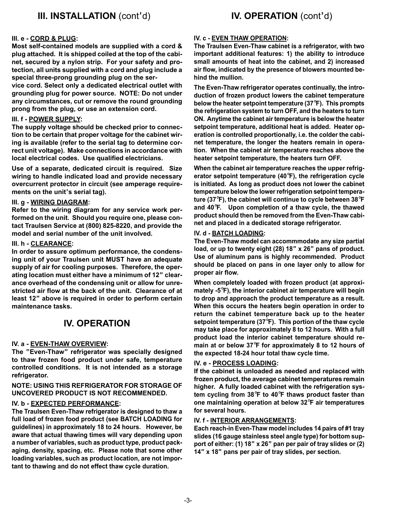#### **III. e - CORD & PLUG:**

**Most self-contained models are supplied with a cord & plug attached. It is shipped coiled at the top of the cabinet, secured by a nylon strip. For your safety and protection, all units supplied with a cord and plug include a special three-prong grounding plug on the ser-**

**vice cord. Select only a dedicated electrical outlet with grounding plug for power source. NOTE: Do not under any circumstances, cut or remove the round grounding prong from the plug, or use an extension cord.**

#### **III. f - POWER SUPPLY:**

**The supply voltage should be checked prior to connection to be certain that proper voltage for the cabinet wiring is available (refer to the serial tag to determine correct unit voltage). Make connections in accordance with local electrical codes. Use qualified electricians.**

**Use of a separate, dedicated circuit is required. Size wiring to handle indicated load and provide necessary overcurrent protector in circuit (see amperage requirements on the unit's serial tag).**

#### **III. g - WIRING DIAGRAM:**

**Refer to the wiring diagram for any service work performed on the unit. Should you require one, please contact Traulsen Service at (800) 825-8220, and provide the model and serial number of the unit involved.**

#### **III. h - CLEARANCE:**

**In order to assure optimum performance, the condensing unit of your Traulsen unit MUST have an adequate supply of air for cooling purposes. Therefore, the operating location must either have a minimum of 12" clearance overhead of the condensing unit or allow for unrestricted air flow at the back of the unit. Clearance of at least 12" above is required in order to perform certain maintenance tasks.**

## **IV. OPERATION**

#### **IV. a - EVEN-THAW OVERVIEW:**

**The "Even-Thaw" refrigerator was specially designed to thaw frozen food product under safe, temperature controlled conditions. It is not intended as a storage refrigerator.**

#### **NOTE: USING THIS REFRIGERATOR FOR STORAGE OF UNCOVERED PRODUCT IS NOT RECOMMENDED.**

#### **IV. b - EXPECTED PERFORMANCE:**

**The Traulsen Even-Thaw refrigerator is designed to thaw a full load of frozen food product (see BATCH LOADING for guidelines) in approximately 18 to 24 hours. However, be aware that actual thawing times will vary depending upon a number of variables, such as product type, product packaging, density, spacing, etc. Please note that some other loading variables, such as product location, are not important to thawing and do not effect thaw cycle duration.**

#### **IV. c - EVEN THAW OPERATION:**

**The Traulsen Even-Thaw cabinet is a refrigerator, with two important additional features: 1) the ability to introduce small amounts of heat into the cabinet, and 2) increased air flow, indicated by the presence of blowers mounted behind the mullion.**

**The Even-Thaw refrigerator operates continually, the introduction of frozen product lowers the cabinet temperature below the heater setpoint temperature (37**°**F). This prompts the refrigeration system to turn OFF, and the heaters to turn ON. Anytime the cabinet air temperature is below the heater setpoint temperature, additional heat is added. Heater operation is controlled proportionally, i.e. the colder the cabinet temperature, the longer the heaters remain in operation. When the cabinet air temperature reaches above the heater setpoint temperature, the heaters turn OFF.**

**When the cabinet air temperature reaches the upper refrigerator setpoint temperature (40**°**F), the refrigeration cycle is initiated. As long as product does not lower the cabinet temperature below the lower refrigeration setpoint temperature (37**°**F), the cabinet will continue to cycle between 38**°**F and 40**°**F. Upon completion of a thaw cycle, the thawed product should then be removed from the Even-Thaw cabinet and placed in a dedicated storage refrigerator.**

#### **IV. d - BATCH LOADING:**

**The Even-Thaw model can accommmodate any size partial load, or up to twenty eight (28) 18" x 26" pans of product. Use of aluminum pans is highly recommended. Product should be placed on pans in one layer only to allow for proper air flow.**

**When completely loaded with frozen product (at approximately -5**°**F), the interior cabinet air temperature will begin to drop and approach the product temperature as a result. When this occurs the heaters begin operation in order to return the cabinet temperature back up to the heater setpoint temperature (37**°**F). This portion of the thaw cycle may take place for approximately 8 to 12 hours. With a full product load the interior cabinet temperature should remain at or below 37**°**F for approximately 8 to 12 hours of the expected 18-24 hour total thaw cycle time.**

#### **IV. e - PROCESS LOADING:**

**If the cabinet is unloaded as needed and replaced with frozen product, the average cabinet temperatures remain higher. A fully loaded cabinet with the refrigeration system cycling from 38**°**F to 40**°**F thaws product faster than one maintaining operation at below 32**°**F air temperatures for several hours.**

#### **IV. f - INTERIOR ARRANGEMENTS:**

**Each reach-in Even-Thaw model includes 14 pairs of #1 tray slides (16 gauge stainless steel angle type) for bottom support of either: (1) 18" x 26" pan per pair of tray slides or (2) 14" x 18" pans per pair of tray slides, per section.**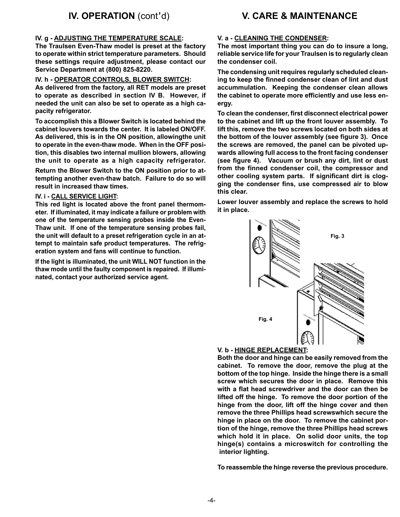#### **IV. g - ADJUSTING THE TEMPERATURE SCALE:**

**The Traulsen Even-Thaw model is preset at the factory to operate within strict temperature parameters. Should these settings require adjustment, please contact our Service Department at (800) 825-8220.**

#### **IV. h - OPERATOR CONTROLS, BLOWER SWITCH:**

**As delivered from the factory, all RET models are preset to operate as described in section IV B. However, if needed the unit can also be set to operate as a high capacity refrigerator.**

**To accomplish this a Blower Switch is located behind the cabinet louvers towards the center. It is labeled ON/OFF. As delivered, this is in the ON position, allowingthe unit to operate in the even-thaw mode. When in the OFF position, this disables two internal mullion blowers, allowing the unit to operate as a high capacity refrigerator.**

**Return the Blower Switch to the ON position prior to attempting another even-thaw batch. Failure to do so will result in increased thaw times.**

#### **IV. i - CALL SERVICE LIGHT:**

**This red light is located above the front panel thermometer. If illuminated, it may indicate a failure or problem with one of the temperature sensing probes inside the Even-Thaw unit. If one of the temperature sensing probes fail, the unit will default to a preset refrigeration cycle in an attempt to maintain safe product temperatures. The refrigeration system and fans will continue to function.**

**If the light is illuminated, the unit WILL NOT function in the thaw mode until the faulty component is repaired. If illuminated, contact your authorized service agent.**

#### **V. a - CLEANING THE CONDENSER:**

**The most important thing you can do to insure a long, reliable service life for your Traulsen is to regularly clean the condenser coil.**

**The condensing unit requires regularly scheduled cleaning to keep the finned condenser clean of lint and dust accummulation. Keeping the condenser clean allows the cabinet to operate more efficiently and use less energy.**

**To clean the condenser, first disconnect electrical power to the cabinet and lift up the front louver assembly. To lift this, remove the two screws located on both sides at the bottom of the louver assembly (see figure 3). Once the screws are removed, the panel can be pivoted upwards allowing full access to the front facing condenser (see figure 4). Vacuum or brush any dirt, lint or dust from the finned condenser coil, the compressor and other cooling system parts. If significant dirt is clogging the condenser fins, use compressed air to blow this clear.**

**Lower louver assembly and replace the screws to hold it in place.**



#### **V. b - HINGE REPLACEMENT:**

**Both the door and hinge can be easily removed from the cabinet. To remove the door, remove the plug at the bottom of the top hinge. Inside the hinge there is a small screw which secures the door in place. Remove this with a flat head screwdriver and the door can then be lifted off the hinge. To remove the door portion of the hinge from the door, lift off the hinge cover and then remove the three Phillips head screwswhich secure the hinge in place on the door. To remove the cabinet portion of the hinge, remove the three Phillips head screws which hold it in place. On solid door units, the top hinge(s) contains a microswitch for controlling the interior lighting.**

**To reassemble the hinge reverse the previous procedure.**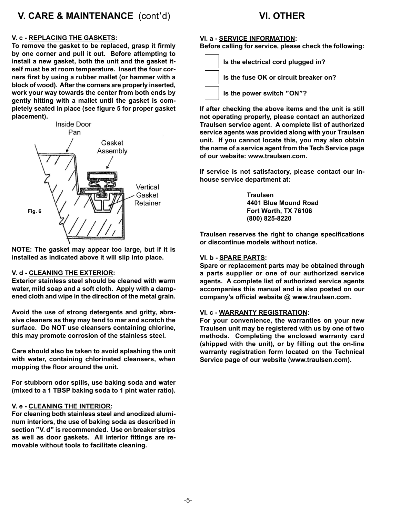## **V. CARE & MAINTENANCE** (cont'd)

## **VI. OTHER**

#### **V. c - REPLACING THE GASKETS:**

**To remove the gasket to be replaced, grasp it firmly by one corner and pull it out. Before attempting to install a new gasket, both the unit and the gasket itself must be at room temperature. Insert the four corners first by using a rubber mallet (or hammer with a block of wood). After the corners are properly inserted, work your way towards the center from both ends by gently hitting with a mallet until the gasket is completely seated in place (see figure 5 for proper gasket placement).**



**NOTE: The gasket may appear too large, but if it is installed as indicated above it will slip into place.**

#### **V. d - CLEANING THE EXTERIOR:**

**Exterior stainless steel should be cleaned with warm water, mild soap and a soft cloth. Apply with a dampened cloth and wipe in the direction of the metal grain.**

**Avoid the use of strong detergents and gritty, abrasive cleaners as they may tend to mar and scratch the surface. Do NOT use cleansers containing chlorine, this may promote corrosion of the stainless steel.**

**Care should also be taken to avoid splashing the unit with water, containing chlorinated cleansers, when mopping the floor around the unit.**

**For stubborn odor spills, use baking soda and water (mixed to a 1 TBSP baking soda to 1 pint water ratio).**

#### **V. e - CLEANING THE INTERIOR:**

**For cleaning both stainless steel and anodized aluminum interiors, the use of baking soda as described in section "V. d" is recommended. Use on breaker strips as well as door gaskets. All interior fittings are removable without tools to facilitate cleaning.**

#### **VI. a - SERVICE INFORMATION:**

**Before calling for service, please check the following:**



**If after checking the above items and the unit is still not operating properly, please contact an authorized Traulsen service agent. A complete list of authorized service agents was provided along with your Traulsen unit. If you cannot locate this, you may also obtain the name of a service agent from the Tech Service page of our website: www.traulsen.com.**

**If service is not satisfactory, please contact our inhouse service department at:**

> **Traulsen 4401 Blue Mound Road Fort Worth, TX 76106 (800) 825-8220**

**Traulsen reserves the right to change specifications or discontinue models without notice.**

#### **VI. b - SPARE PARTS:**

**Spare or replacement parts may be obtained through a parts supplier or one of our authorized service agents. A complete list of authorized service agents accompanies this manual and is also posted on our company's official website @ www.traulsen.com.**

#### **VI. c - WARRANTY REGISTRATION:**

**For your convenience, the warranties on your new Traulsen unit may be registered with us by one of two methods. Completing the enclosed warranty card (shipped with the unit), or by filling out the on-line warranty registration form located on the Technical Service page of our website (www.traulsen.com).**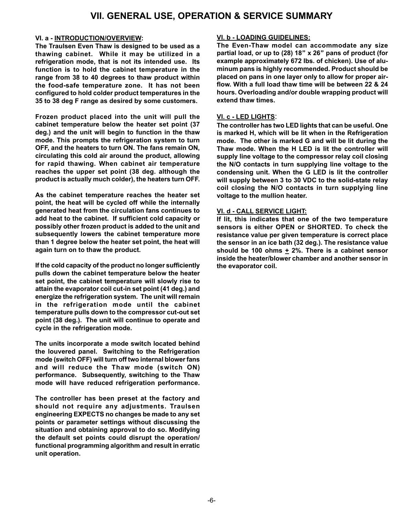## **VII. GENERAL USE, OPERATION & SERVICE SUMMARY**

#### **VI. a - INTRODUCTION/OVERVIEW:**

**The Traulsen Even Thaw is designed to be used as a thawing cabinet. While it may be utilized in a refrigeration mode, that is not its intended use. Its function is to hold the cabinet temperature in the range from 38 to 40 degrees to thaw product within the food-safe temperature zone. It has not been configured to hold colder product temperatures in the 35 to 38 deg F range as desired by some customers.**

**Frozen product placed into the unit will pull the cabinet temperature below the heater set point (37 deg.) and the unit will begin to function in the thaw mode. This prompts the refrigeration system to turn OFF, and the heaters to turn ON. The fans remain ON, circulating this cold air around the product, allowing for rapid thawing. When cabinet air temperature reaches the upper set point (38 deg. although the product is actually much colder), the heaters turn OFF.**

**As the cabinet temperature reaches the heater set point, the heat will be cycled off while the internally generated heat from the circulation fans continues to add heat to the cabinet. If sufficient cold capacity or possibly other frozen product is added to the unit and subsequently lowers the cabinet temperature more than 1 degree below the heater set point, the heat will again turn on to thaw the product.**

**If the cold capacity of the product no longer sufficiently pulls down the cabinet temperature below the heater set point, the cabinet temperature will slowly rise to attain the evaporator coil cut-in set point (41 deg.) and energize the refrigeration system. The unit will remain in the refrigeration mode until the cabinet temperature pulls down to the compressor cut-out set point (38 deg.). The unit will continue to operate and cycle in the refrigeration mode.**

**The units incorporate a mode switch located behind the louvered panel. Switching to the Refrigeration mode (switch OFF) will turn off two internal blower fans and will reduce the Thaw mode (switch ON) performance. Subsequently, switching to the Thaw mode will have reduced refrigeration performance.**

**The controller has been preset at the factory and should not require any adjustments. Traulsen engineering EXPECTS no changes be made to any set points or parameter settings without discussing the situation and obtaining approval to do so. Modifying the default set points could disrupt the operation/ functional programming algorithm and result in erratic unit operation.**

#### **VI. b - LOADING GUIDELINES:**

**The Even-Thaw model can accommodate any size partial load, or up to (28) 18" x 26" pans of product (for example approximately 672 lbs. of chicken). Use of aluminum pans is highly recommended. Product should be placed on pans in one layer only to allow for proper airflow. With a full load thaw time will be between 22 & 24 hours. Overloading and/or double wrapping product will extend thaw times.**

#### **VI. c - LED LIGHTS**:

**The controller has two LED lights that can be useful. One is marked H, which will be lit when in the Refrigeration mode. The other is marked G and will be lit during the Thaw mode. When the H LED is lit the controller will supply line voltage to the compressor relay coil closing the N/O contacts in turn supplying line voltage to the condensing unit. When the G LED is lit the controller will supply between 3 to 30 VDC to the solid-state relay coil closing the N/O contacts in turn supplying line voltage to the mullion heater.**

#### **VI. d - CALL SERVICE LIGHT:**

**If lit, this indicates that one of the two temperature sensors is either OPEN or SHORTED. To check the resistance value per given temperature is correct place the sensor in an ice bath (32 deg.). The resistance value** should be 100 ohms  $\pm$  2%. There is a cabinet sensor **inside the heater/blower chamber and another sensor in the evaporator coil.**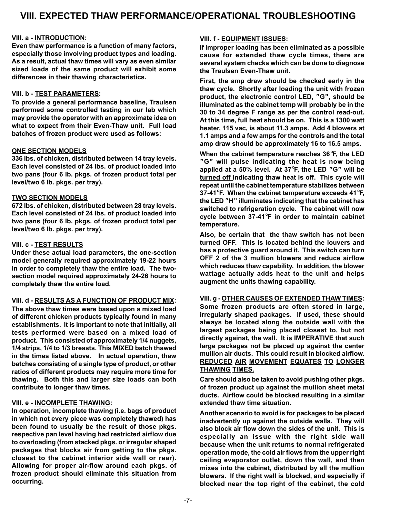## **VIII. EXPECTED THAW PERFORMANCE/OPERATIONAL TROUBLESHOOTING**

#### **VIII. a - INTRODUCTION:**

**Even thaw performance is a function of many factors, especially those involving product types and loading. As a result, actual thaw times will vary as even similar sized loads of the same product will exhibit some differences in their thawing characteristics.**

#### **VIII. b - TEST PARAMETERS:**

**To provide a general performance baseline, Traulsen performed some controlled testing in our lab which may provide the operator with an approximate idea on what to expect from their Even-Thaw unit. Full load batches of frozen product were used as follows:**

#### **ONE SECTION MODELS**

**336 lbs. of chicken, distributed between 14 tray levels. Each level consisted of 24 lbs. of product loaded into two pans (four 6 lb. pkgs. of frozen product total per level/two 6 lb. pkgs. per tray).**

#### **TWO SECTION MODELS**

**672 lbs. of chicken, distributed between 28 tray levels. Each level consisted of 24 lbs. of product loaded into two pans (four 6 lb. pkgs. of frozen product total per level/two 6 lb. pkgs. per tray).**

#### **VIII. c - TEST RESULTS**

**Under these actual load parameters, the one-section model generally required approximately 19-22 hours in order to completely thaw the entire load. The twosection model required approximately 24-26 hours to completely thaw the entire load.**

#### **VIII. d - RESULTS AS A FUNCTION OF PRODUCT MIX:**

**The above thaw times were based upon a mixed load of different chicken products typically found in many establishments. It is important to note that initially, all tests performed were based on a mixed load of product. This consisted of approximately 1/4 nuggets, 1/4 strips, 1/4 to 1/3 breasts. This MIXED batch thawed in the times listed above. In actual operation, thaw batches consisting of a single type of product, or other ratios of different products may require more time for thawing. Both this and larger size loads can both contribute to longer thaw times.**

#### **VIII. e - INCOMPLETE THAWING:**

**In operation, incomplete thawing (i.e. bags of product in which not every piece was completely thawed) has been found to usually be the result of those pkgs. respective pan level having had restricted airflow due to overloading (from stacked pkgs. or irregular shaped packages that blocks air from getting to the pkgs. closest to the cabinet interior side wall or rear). Allowing for proper air-flow around each pkgs. of frozen product should eliminate this situation from occurring.**

#### **VIII. f - EQUIPMENT ISSUES:**

**If improper loading has been eliminated as a possible cause for extended thaw cycle times, there are several system checks which can be done to diagnose the Traulsen Even-Thaw unit.**

**First, the amp draw should be checked early in the thaw cycle. Shortly after loading the unit with frozen product, the electronic control LED, "G", should be illuminated as the cabinet temp will probably be in the 30 to 34 degree F range as per the control read-out. At this time, full heat should be on. This is a 1300 watt heater, 115 vac, is about 11.3 amps. Add 4 blowers at 1.1 amps and a few amps for the controls and the total amp draw should be approximately 16 to 16.5 amps.**

**When the cabinet temperature reaches 36**°**F, the LED "G" will pulse indicating the heat is now being applied at a 50% level. At 37**°**F, the LED "G" will be turned off indicating thaw heat is off. This cycle will repeat until the cabinet temperature stabilizes between 37-41**°**F. When the cabinet temperature exceeds 41**°**F, the LED "H" illuminates indicating that the cabinet has switched to refrigeration cycle. The cabinet will now cycle between 37-41**°**F in order to maintain cabinet temperature.**

**Also, be certain that the thaw switch has not been turned OFF. This is located behind the louvers and has a protective guard around it. This switch can turn OFF 2 of the 3 mullion blowers and reduce airflow which reduces thaw capability. In addition, the blower wattage actually adds heat to the unit and helps augment the units thawing capability.**

#### **VIII. g - OTHER CAUSES OF EXTENDED THAW TIMES:**

**Some frozen products are often stored in large, irregularly shaped packages. If used, these should always be located along the outside wall with the largest packages being placed closest to, but not directly against, the wall. It is IMPERATIVE that such large packages not be placed up against the center mullion air ducts. This could result in blocked airflow. REDUCED AIR MOVEMENT EQUATES TO LONGER THAWING TIMES.**

**Care should also be taken to avoid pushing other pkgs. of frozen product up against the mullion sheet metal ducts. Airflow could be blocked resulting in a similar extended thaw time situation.**

**Another scenario to avoid is for packages to be placed inadvertently up against the outside walls. They will also block air flow down the sides of the unit. This is especially an issue with the right side wall because when the unit returns to normal refrigerated operation mode, the cold air flows from the upper right ceiling evaporator outlet, down the wall, and then mixes into the cabinet, distributed by all the mullion blowers. If the right wall is blocked, and especially if blocked near the top right of the cabinet, the cold**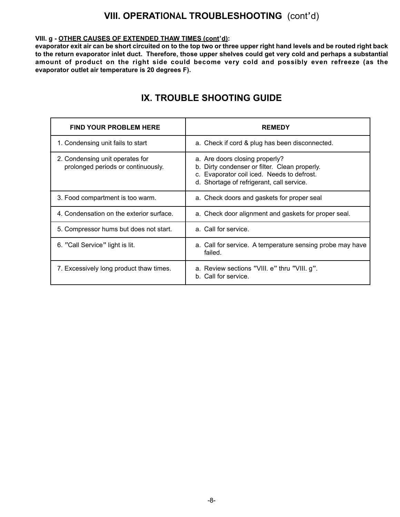## **VIII. OPERATIONAL TROUBLESHOOTING** (cont'd)

#### **VIII. g - OTHER CAUSES OF EXTENDED THAW TIMES (cont'd):**

**evaporator exit air can be short circuited on to the top two or three upper right hand levels and be routed right back to the return evaporator inlet duct. Therefore, those upper shelves could get very cold and perhaps a substantial amount of product on the right side could become very cold and possibly even refreeze (as the evaporator outlet air temperature is 20 degrees F).**

| <b>FIND YOUR PROBLEM HERE</b>                                         | <b>REMEDY</b>                                                                                                                                                              |
|-----------------------------------------------------------------------|----------------------------------------------------------------------------------------------------------------------------------------------------------------------------|
| 1. Condensing unit fails to start                                     | a. Check if cord & plug has been disconnected.                                                                                                                             |
| 2. Condensing unit operates for<br>prolonged periods or continuously. | a. Are doors closing properly?<br>b. Dirty condenser or filter. Clean properly.<br>c. Evaporator coil iced. Needs to defrost.<br>d. Shortage of refrigerant, call service. |
| 3. Food compartment is too warm.                                      | a. Check doors and gaskets for proper seal                                                                                                                                 |
| 4. Condensation on the exterior surface.                              | a. Check door alignment and gaskets for proper seal.                                                                                                                       |
| 5. Compressor hums but does not start.                                | a. Call for service.                                                                                                                                                       |
| 6. "Call Service" light is lit.                                       | a. Call for service. A temperature sensing probe may have<br>failed.                                                                                                       |
| 7. Excessively long product thaw times.                               | a. Review sections "VIII. e" thru "VIII. g".<br>b. Call for service.                                                                                                       |

## **IX. TROUBLE SHOOTING GUIDE**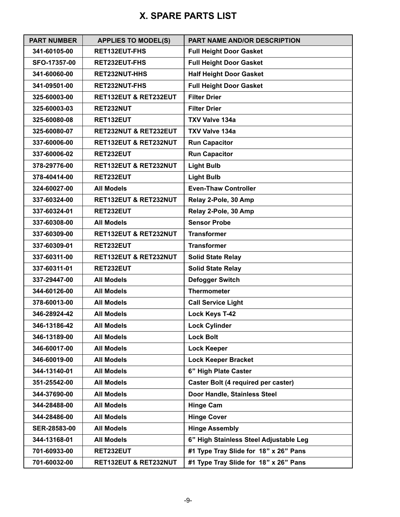## **X. SPARE PARTS LIST**

| <b>PART NUMBER</b> | <b>APPLIES TO MODEL(S)</b> | PART NAME AND/OR DESCRIPTION           |
|--------------------|----------------------------|----------------------------------------|
| 341-60105-00       | RET132EUT-FHS              | <b>Full Height Door Gasket</b>         |
| SFO-17357-00       | RET232EUT-FHS              | <b>Full Height Door Gasket</b>         |
| 341-60060-00       | RET232NUT-HHS              | <b>Half Height Door Gasket</b>         |
| 341-09501-00       | <b>RET232NUT-FHS</b>       | <b>Full Height Door Gasket</b>         |
| 325-60003-00       | RET132EUT & RET232EUT      | <b>Filter Drier</b>                    |
| 325-60003-03       | RET232NUT                  | <b>Filter Drier</b>                    |
| 325-60080-08       | RET132EUT                  | <b>TXV Valve 134a</b>                  |
| 325-60080-07       | RET232NUT & RET232EUT      | <b>TXV Valve 134a</b>                  |
| 337-60006-00       | RET132EUT & RET232NUT      | <b>Run Capacitor</b>                   |
| 337-60006-02       | RET232EUT                  | <b>Run Capacitor</b>                   |
| 378-29776-00       | RET132EUT & RET232NUT      | <b>Light Bulb</b>                      |
| 378-40414-00       | RET232EUT                  | <b>Light Bulb</b>                      |
| 324-60027-00       | <b>All Models</b>          | <b>Even-Thaw Controller</b>            |
| 337-60324-00       | RET132EUT & RET232NUT      | Relay 2-Pole, 30 Amp                   |
| 337-60324-01       | RET232EUT                  | Relay 2-Pole, 30 Amp                   |
| 337-60308-00       | <b>All Models</b>          | <b>Sensor Probe</b>                    |
| 337-60309-00       | RET132EUT & RET232NUT      | <b>Transformer</b>                     |
| 337-60309-01       | RET232EUT                  | <b>Transformer</b>                     |
| 337-60311-00       | RET132EUT & RET232NUT      | <b>Solid State Relay</b>               |
| 337-60311-01       | RET232EUT                  | <b>Solid State Relay</b>               |
| 337-29447-00       | <b>All Models</b>          | <b>Defogger Switch</b>                 |
| 344-60126-00       | <b>All Models</b>          | <b>Thermometer</b>                     |
| 378-60013-00       | <b>All Models</b>          | <b>Call Service Light</b>              |
| 346-28924-42       | <b>All Models</b>          | <b>Lock Keys T-42</b>                  |
| 346-13186-42       | <b>All Models</b>          | <b>Lock Cylinder</b>                   |
| 346-13189-00       | <b>All Models</b>          | <b>Lock Bolt</b>                       |
| 346-60017-00       | <b>All Models</b>          | <b>Lock Keeper</b>                     |
| 346-60019-00       | <b>All Models</b>          | <b>Lock Keeper Bracket</b>             |
| 344-13140-01       | <b>All Models</b>          | 6" High Plate Caster                   |
| 351-25542-00       | <b>All Models</b>          | Caster Bolt (4 required per caster)    |
| 344-37690-00       | <b>All Models</b>          | Door Handle, Stainless Steel           |
| 344-28488-00       | <b>All Models</b>          | <b>Hinge Cam</b>                       |
| 344-28486-00       | <b>All Models</b>          | <b>Hinge Cover</b>                     |
| SER-28583-00       | <b>All Models</b>          | <b>Hinge Assembly</b>                  |
| 344-13168-01       | <b>All Models</b>          | 6" High Stainless Steel Adjustable Leg |
| 701-60933-00       | RET232EUT                  | #1 Type Tray Slide for 18" x 26" Pans  |
| 701-60032-00       | RET132EUT & RET232NUT      | #1 Type Tray Slide for 18" x 26" Pans  |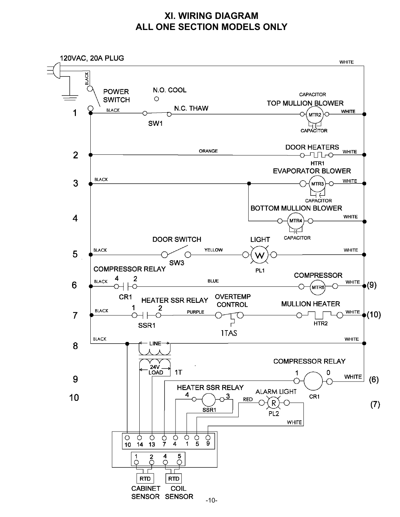## **XI. WIRING DIAGRAM ALL ONE SECTION MODELS ONLY**

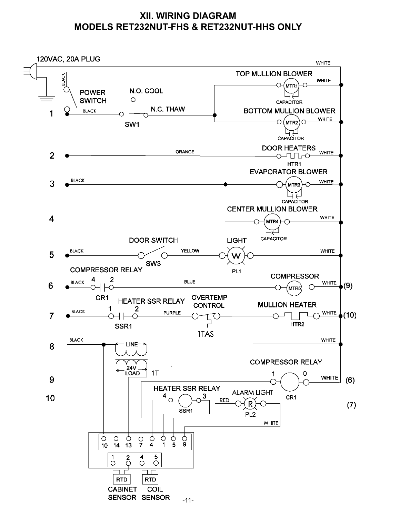## **XII. WIRING DIAGRAM MODELS RET232NUT-FHS & RET232NUT-HHS ONLY**

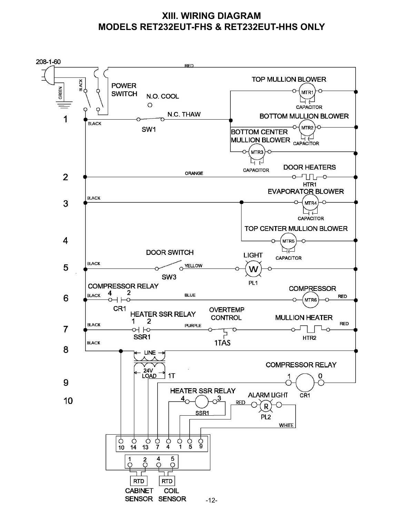## **XIII. WIRING DIAGRAM MODELS RET232EUT-FHS & RET232EUT-HHS ONLY**

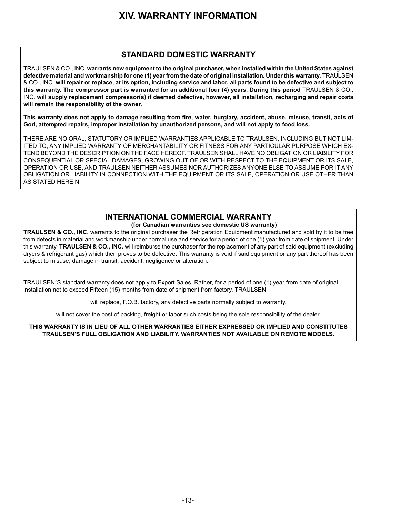## **XIV. WARRANTY INFORMATION**

#### **STANDARD DOMESTIC WARRANTY**

TRAULSEN & CO., INC. **warrants new equipment to the original purchaser, when installed within the United States against defective material and workmanship for one (1) year from the date of original installation. Under this warranty,** TRAULSEN & CO., INC. **will repair or replace, at its option, including service and labor, all parts found to be defective and subject to this warranty. The compressor part is warranted for an additional four (4) years. During this period** TRAULSEN & CO., INC. **will supply replacement compressor(s) if deemed defective, however, all installation, recharging and repair costs will remain the responsibility of the owner.**

**This warranty does not apply to damage resulting from fire, water, burglary, accident, abuse, misuse, transit, acts of God, attempted repairs, improper installation by unauthorized persons, and will not apply to food loss.**

THERE ARE NO ORAL, STATUTORY OR IMPLIED WARRANTIES APPLICABLE TO TRAULSEN, INCLUDING BUT NOT LIM-ITED TO, ANY IMPLIED WARRANTY OF MERCHANTABILITY OR FITNESS FOR ANY PARTICULAR PURPOSE WHICH EX-TEND BEYOND THE DESCRIPTION ON THE FACE HEREOF. TRAULSEN SHALL HAVE NO OBLIGATION OR LIABILITY FOR CONSEQUENTIAL OR SPECIAL DAMAGES, GROWING OUT OF OR WITH RESPECT TO THE EQUIPMENT OR ITS SALE, OPERATION OR USE, AND TRAULSEN NEITHER ASSUMES NOR AUTHORIZES ANYONE ELSE TO ASSUME FOR IT ANY OBLIGATION OR LIABILITY IN CONNECTION WITH THE EQUIPMENT OR ITS SALE, OPERATION OR USE OTHER THAN AS STATED HEREIN.

## **INTERNATIONAL COMMERCIAL WARRANTY**

#### **(for Canadian warranties see domestic US warranty)**

**TRAULSEN & CO., INC.** warrants to the original purchaser the Refrigeration Equipment manufactured and sold by it to be free from defects in material and workmanship under normal use and service for a period of one (1) year from date of shipment. Under this warranty, **TRAULSEN & CO., INC.** will reimburse the purchaser for the replacement of any part of said equipment (excluding dryers & refrigerant gas) which then proves to be defective. This warranty is void if said equipment or any part thereof has been subject to misuse, damage in transit, accident, negligence or alteration.

TRAULSEN'S standard warranty does not apply to Export Sales. Rather, for a period of one (1) year from date of original installation not to exceed Fifteen (15) months from date of shipment from factory, TRAULSEN:

will replace, F.O.B. factory, any defective parts normally subject to warranty.

will not cover the cost of packing, freight or labor such costs being the sole responsibility of the dealer.

**THIS WARRANTY IS IN LIEU OF ALL OTHER WARRANTIES EITHER EXPRESSED OR IMPLIED AND CONSTITUTES TRAULSEN'S FULL OBLIGATION AND LIABILITY. WARRANTIES NOT AVAILABLE ON REMOTE MODELS.**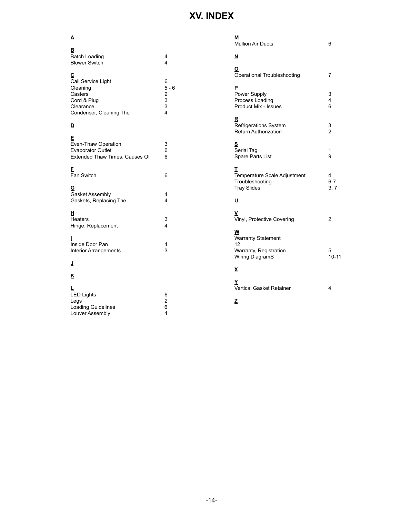## **XV. INDEX**

## **A B**

| <b>Batch Loading</b><br><b>Blower Switch</b>                                                          | 4<br>4                                                                                |
|-------------------------------------------------------------------------------------------------------|---------------------------------------------------------------------------------------|
| С<br>Call Service Light<br>Cleaning<br>Casters<br>Cord & Plug<br>Clearance<br>Condenser, Cleaning The | 6<br>$5 - 6$<br>$\begin{array}{c} 2 \\ 3 \\ 3 \end{array}$<br>$\overline{\mathbf{4}}$ |
| D                                                                                                     |                                                                                       |
| Е<br>Even-Thaw Operation<br>Evaporator Outlet<br>Extended Thaw Times, Causes Of                       | 3<br>6<br>6                                                                           |
| F<br>Fan Switch                                                                                       | 6                                                                                     |
| G<br>Gasket Assembly<br>Gaskets, Replacing The                                                        | 4<br>4                                                                                |
| н<br>Heaters<br>Hinge, Replacement                                                                    | 3<br>4                                                                                |
| ı<br>Inside Door Pan<br><b>Interior Arrangements</b>                                                  | 4<br>3                                                                                |
| ┛                                                                                                     |                                                                                       |
| ĸ                                                                                                     |                                                                                       |
| L<br><b>LED Lights</b><br>Legs<br>Loading Guidelines<br>Louver Assembly                               | 6<br>$\overline{\mathbf{c}}$<br>6<br>4                                                |
|                                                                                                       |                                                                                       |

| М<br><b>Mullion Air Ducts</b>                                              | 6                    |
|----------------------------------------------------------------------------|----------------------|
| <u>N</u>                                                                   |                      |
| ₫<br>Operational Troubleshooting                                           | 7                    |
| P<br>Power Supply<br>Process Loading<br>Product Mix - Issues               | 3<br>4<br>6          |
| R<br>Refrigerations System<br><b>Return Authorization</b>                  | $\frac{3}{2}$        |
| S<br>Serial Tag<br>Spare Parts List                                        | 1<br>9               |
| т<br>Temperature Scale Adjustment<br>Troubleshooting<br><b>Tray Slides</b> | 4<br>$6 - 7$<br>3, 7 |
| <u>ប</u>                                                                   |                      |
| Vinyl, Protective Covering                                                 | 2                    |
| W<br>Warranty Statement<br>12                                              |                      |
| Warranty, Registration<br>Wiring DiagramS                                  | 5<br>$10 - 11$       |
| X                                                                          |                      |
| Y<br>Vertical Gasket Retainer                                              | 4                    |
| Ζ                                                                          |                      |

-14-